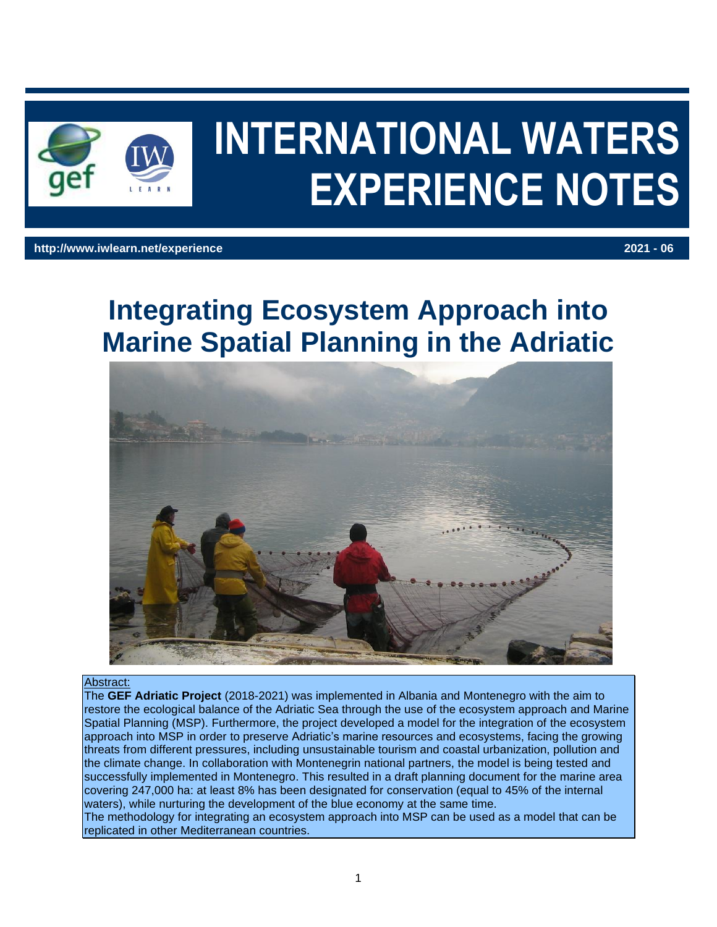

# **INTERNATIONAL WATERS EXPERIENCE NOTES**

#### **http://www.iwlearn.net/experience 2021 - 06**

# **Integrating Ecosystem Approach into Marine Spatial Planning in the Adriatic**



#### Abstract:

The **GEF Adriatic Project** (2018-2021) was implemented in Albania and Montenegro with the aim to restore the ecological balance of the Adriatic Sea through the use of the ecosystem approach and Marine Spatial Planning (MSP). Furthermore, the project developed a model for the integration of the ecosystem approach into MSP in order to preserve Adriatic's marine resources and ecosystems, facing the growing threats from different pressures, including unsustainable tourism and coastal urbanization, pollution and the climate change. In collaboration with Montenegrin national partners, the model is being tested and successfully implemented in Montenegro. This resulted in a draft planning document for the marine area covering 247,000 ha: at least 8% has been designated for conservation (equal to 45% of the internal waters), while nurturing the development of the blue economy at the same time.

The methodology for integrating an ecosystem approach into MSP can be used as a model that can be replicated in other Mediterranean countries.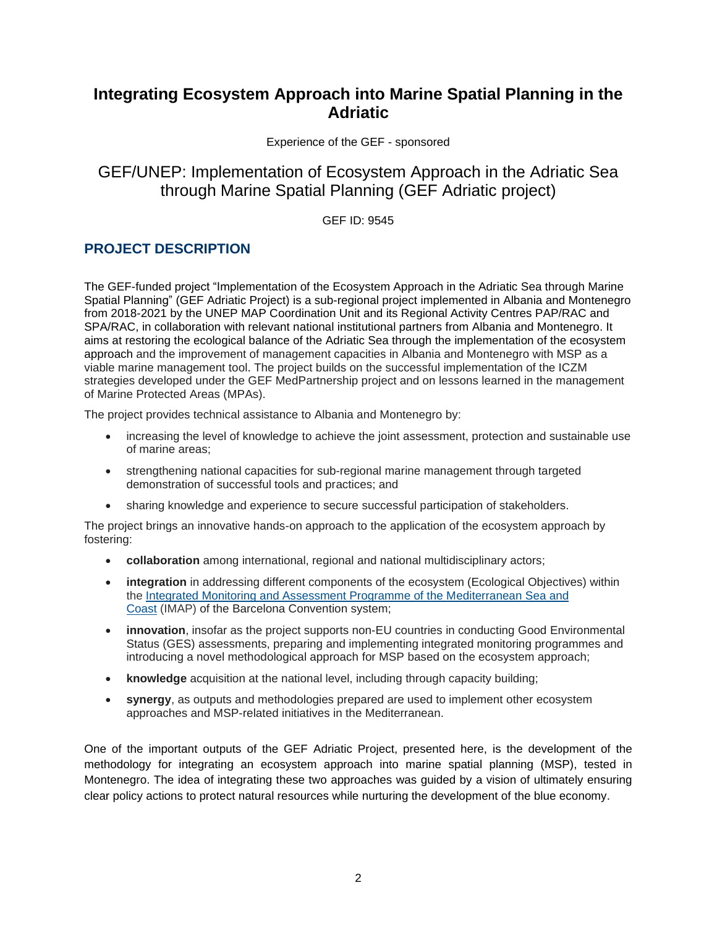# **Integrating Ecosystem Approach into Marine Spatial Planning in the Adriatic**

Experience of the GEF - sponsored

# GEF/UNEP: Implementation of Ecosystem Approach in the Adriatic Sea through Marine Spatial Planning (GEF Adriatic project)

GEF ID: 9545

### **PROJECT DESCRIPTION**

The GEF-funded project "Implementation of the Ecosystem Approach in the Adriatic Sea through Marine Spatial Planning" (GEF Adriatic Project) is a sub-regional project implemented in Albania and Montenegro from 2018-2021 by the UNEP MAP Coordination Unit and its Regional Activity Centres PAP/RAC and SPA/RAC, in collaboration with relevant national institutional partners from Albania and Montenegro. It aims at restoring the ecological balance of the Adriatic Sea through the implementation of the ecosystem approach and the improvement of management capacities in Albania and Montenegro with MSP as a viable marine management tool. The project builds on the successful implementation of the ICZM strategies developed under the GEF MedPartnership project and on lessons learned in the management of Marine Protected Areas (MPAs).

The project provides technical assistance to Albania and Montenegro by:

- increasing the level of knowledge to achieve the joint assessment, protection and sustainable use of marine areas;
- strengthening national capacities for sub-regional marine management through targeted demonstration of successful tools and practices; and
- sharing knowledge and experience to secure successful participation of stakeholders.

The project brings an innovative hands-on approach to the application of the ecosystem approach by fostering:

- **collaboration** among international, regional and national multidisciplinary actors;
- **integration** in addressing different components of the ecosystem (Ecological Objectives) within the [Integrated Monitoring and Assessment Programme of the Mediterranean Sea and](https://www.medqsr.org/integrated-monitoring-and-assessment-programme-mediterranean-sea-and-coast)  [Coast](https://www.medqsr.org/integrated-monitoring-and-assessment-programme-mediterranean-sea-and-coast) (IMAP) of the Barcelona Convention system;
- **innovation**, insofar as the project supports non-EU countries in conducting Good Environmental Status (GES) assessments, preparing and implementing integrated monitoring programmes and introducing a novel methodological approach for MSP based on the ecosystem approach;
- **knowledge** acquisition at the national level, including through capacity building;
- **synergy**, as outputs and methodologies prepared are used to implement other ecosystem approaches and MSP-related initiatives in the Mediterranean.

One of the important outputs of the GEF Adriatic Project, presented here, is the development of the methodology for integrating an ecosystem approach into marine spatial planning (MSP), tested in Montenegro. The idea of integrating these two approaches was guided by a vision of ultimately ensuring clear policy actions to protect natural resources while nurturing the development of the blue economy.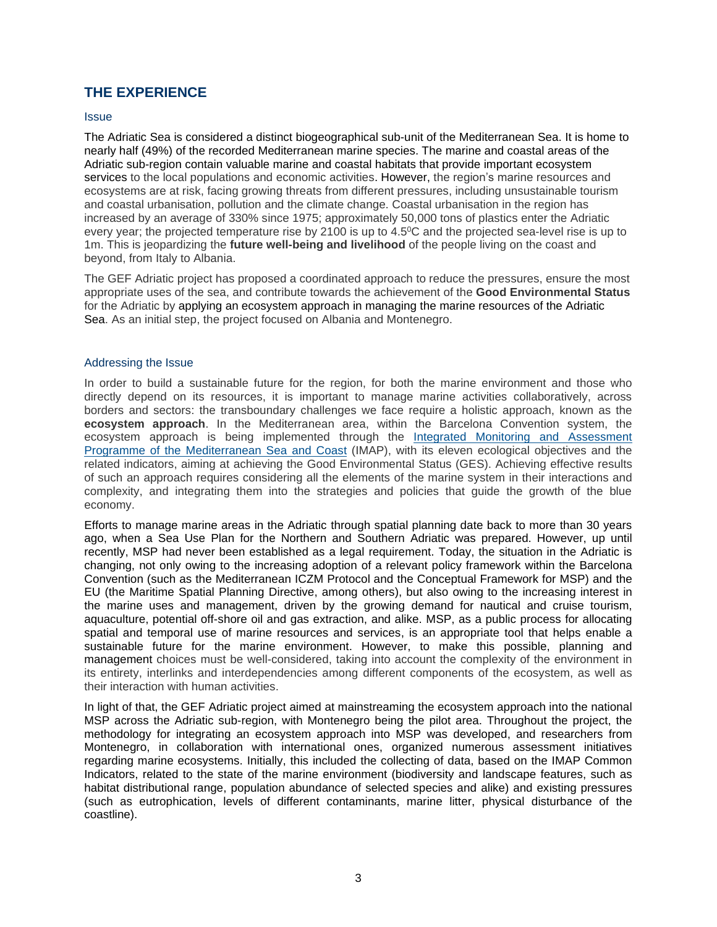#### **THE EXPERIENCE**

#### **Issue**

The Adriatic Sea is considered a distinct biogeographical sub-unit of the Mediterranean Sea. It is home to nearly half (49%) of the recorded Mediterranean marine species. The marine and coastal areas of the Adriatic sub-region contain valuable marine and coastal habitats that provide important ecosystem services to the local populations and economic activities. However, the region's marine resources and ecosystems are at risk, facing growing threats from different pressures, including unsustainable tourism and coastal urbanisation, pollution and the climate change. Coastal urbanisation in the region has increased by an average of 330% since 1975; approximately 50,000 tons of plastics enter the Adriatic every year; the projected temperature rise by 2100 is up to 4.5<sup>o</sup>C and the projected sea-level rise is up to 1m. This is jeopardizing the **future well-being and livelihood** of the people living on the coast and beyond, from Italy to Albania.

The GEF Adriatic project has proposed a coordinated approach to reduce the pressures, ensure the most appropriate uses of the sea, and contribute towards the achievement of the **Good Environmental Status** for the Adriatic by applying an ecosystem approach in managing the marine resources of the Adriatic Sea. As an initial step, the project focused on Albania and Montenegro.

#### Addressing the Issue

In order to build a sustainable future for the region, for both the marine environment and those who directly depend on its resources, it is important to manage marine activities collaboratively, across borders and sectors: the transboundary challenges we face require a holistic approach, known as the **ecosystem approach**. In the Mediterranean area, within the Barcelona Convention system, the ecosystem approach is being implemented through the Integrated [Monitoring and Assessment](https://www.medqsr.org/integrated-monitoring-and-assessment-programme-mediterranean-sea-and-coast)  [Programme of the Mediterranean Sea](https://www.medqsr.org/integrated-monitoring-and-assessment-programme-mediterranean-sea-and-coast) and Coast (IMAP), with its eleven ecological objectives and the related indicators, aiming at achieving the Good Environmental Status (GES). Achieving effective results of such an approach requires considering all the elements of the marine system in their interactions and complexity, and integrating them into the strategies and policies that guide the growth of the blue economy.

Efforts to manage marine areas in the Adriatic through spatial planning date back to more than 30 years ago, when a Sea Use Plan for the Northern and Southern Adriatic was prepared. However, up until recently, MSP had never been established as a legal requirement. Today, the situation in the Adriatic is changing, not only owing to the increasing adoption of a relevant policy framework within the Barcelona Convention (such as the Mediterranean ICZM Protocol and the Conceptual Framework for MSP) and the EU (the Maritime Spatial Planning Directive, among others), but also owing to the increasing interest in the marine uses and management, driven by the growing demand for nautical and cruise tourism, aquaculture, potential off-shore oil and gas extraction, and alike. MSP, as a public process for allocating spatial and temporal use of marine resources and services, is an appropriate tool that helps enable a sustainable future for the marine environment. However, to make this possible, planning and management choices must be well-considered, taking into account the complexity of the environment in its entirety, interlinks and interdependencies among different components of the ecosystem, as well as their interaction with human activities.

In light of that, the GEF Adriatic project aimed at mainstreaming the ecosystem approach into the national MSP across the Adriatic sub-region, with Montenegro being the pilot area. Throughout the project, the methodology for integrating an ecosystem approach into MSP was developed, and researchers from Montenegro, in collaboration with international ones, organized numerous assessment initiatives regarding marine ecosystems. Initially, this included the collecting of data, based on the IMAP Common Indicators, related to the state of the marine environment (biodiversity and landscape features, such as habitat distributional range, population abundance of selected species and alike) and existing pressures (such as eutrophication, levels of different contaminants, marine litter, physical disturbance of the coastline).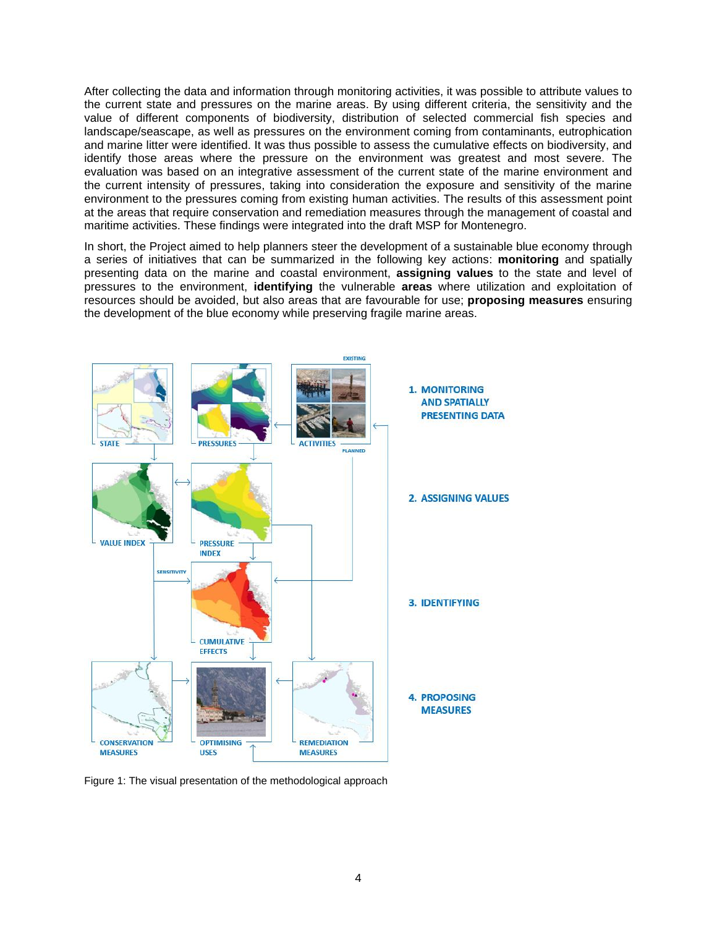After collecting the data and information through monitoring activities, it was possible to attribute values to the current state and pressures on the marine areas. By using different criteria, the sensitivity and the value of different components of biodiversity, distribution of selected commercial fish species and landscape/seascape, as well as pressures on the environment coming from contaminants, eutrophication and marine litter were identified. It was thus possible to assess the cumulative effects on biodiversity, and identify those areas where the pressure on the environment was greatest and most severe. The evaluation was based on an integrative assessment of the current state of the marine environment and the current intensity of pressures, taking into consideration the exposure and sensitivity of the marine environment to the pressures coming from existing human activities. The results of this assessment point at the areas that require conservation and remediation measures through the management of coastal and maritime activities. These findings were integrated into the draft MSP for Montenegro.

In short, the Project aimed to help planners steer the development of a sustainable blue economy through a series of initiatives that can be summarized in the following key actions: **monitoring** and spatially presenting data on the marine and coastal environment, **assigning values** to the state and level of pressures to the environment, **identifying** the vulnerable **areas** where utilization and exploitation of resources should be avoided, but also areas that are favourable for use; **proposing measures** ensuring the development of the blue economy while preserving fragile marine areas.



Figure 1: The visual presentation of the methodological approach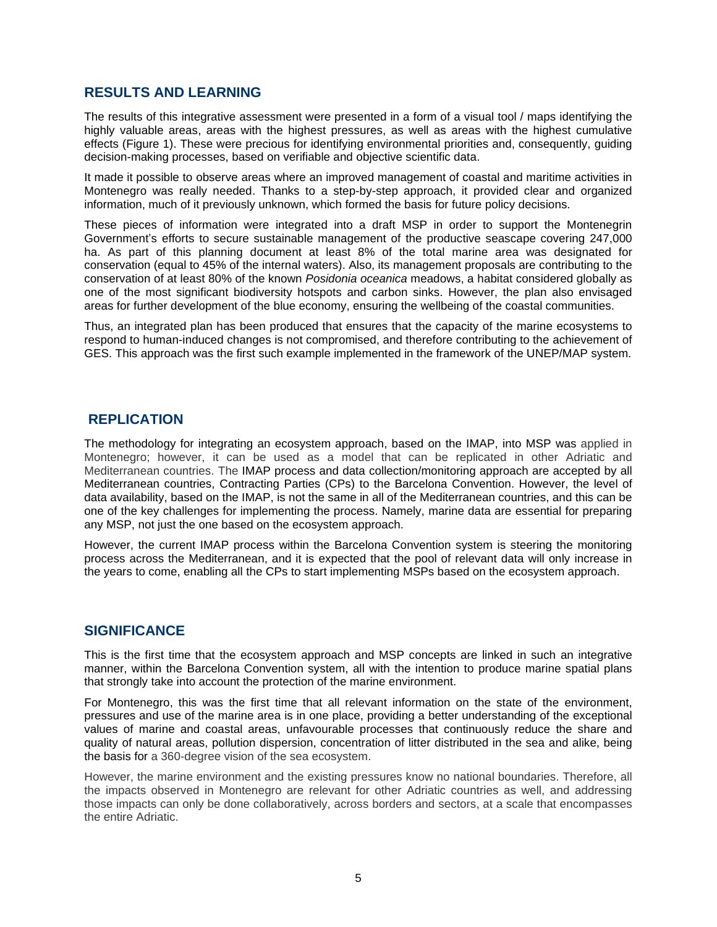#### **RESULTS AND LEARNING**

The results of this integrative assessment were presented in a form of a visual tool / maps identifying the highly valuable areas, areas with the highest pressures, as well as areas with the highest cumulative effects (Figure 1). These were precious for identifying environmental priorities and, consequently, guiding decision-making processes, based on verifiable and objective scientific data.

It made it possible to observe areas where an improved management of coastal and maritime activities in Montenegro was really needed. Thanks to a step-by-step approach, it provided clear and organized information, much of it previously unknown, which formed the basis for future policy decisions.

These pieces of information were integrated into a draft MSP in order to support the Montenegrin Government's efforts to secure sustainable management of the productive seascape covering 247,000 ha. As part of this planning document at least 8% of the total marine area was designated for conservation (equal to 45% of the internal waters). Also, its management proposals are contributing to the conservation of at least 80% of the known *Posidonia oceanica* meadows, a habitat considered globally as one of the most significant biodiversity hotspots and carbon sinks. However, the plan also envisaged areas for further development of the blue economy, ensuring the wellbeing of the coastal communities.

Thus, an integrated plan has been produced that ensures that the capacity of the marine ecosystems to respond to human-induced changes is not compromised, and therefore contributing to the achievement of GES. This approach was the first such example implemented in the framework of the UNEP/MAP system.

#### **REPLICATION**

The methodology for integrating an ecosystem approach, based on the IMAP, into MSP was applied in Montenegro; however, it can be used as a model that can be replicated in other Adriatic and Mediterranean countries. The IMAP process and data collection/monitoring approach are accepted by all Mediterranean countries, Contracting Parties (CPs) to the Barcelona Convention. However, the level of data availability, based on the IMAP, is not the same in all of the Mediterranean countries, and this can be one of the key challenges for implementing the process. Namely, marine data are essential for preparing any MSP, not just the one based on the ecosystem approach.

However, the current IMAP process within the Barcelona Convention system is steering the monitoring process across the Mediterranean, and it is expected that the pool of relevant data will only increase in the years to come, enabling all the CPs to start implementing MSPs based on the ecosystem approach.

#### **SIGNIFICANCE**

This is the first time that the ecosystem approach and MSP concepts are linked in such an integrative manner, within the Barcelona Convention system, all with the intention to produce marine spatial plans that strongly take into account the protection of the marine environment.

For Montenegro, this was the first time that all relevant information on the state of the environment, pressures and use of the marine area is in one place, providing a better understanding of the exceptional values of marine and coastal areas, unfavourable processes that continuously reduce the share and quality of natural areas, pollution dispersion, concentration of litter distributed in the sea and alike, being the basis for a 360-degree vision of the sea ecosystem.

However, the marine environment and the existing pressures know no national boundaries. Therefore, all the impacts observed in Montenegro are relevant for other Adriatic countries as well, and addressing those impacts can only be done collaboratively, across borders and sectors, at a scale that encompasses the entire Adriatic.